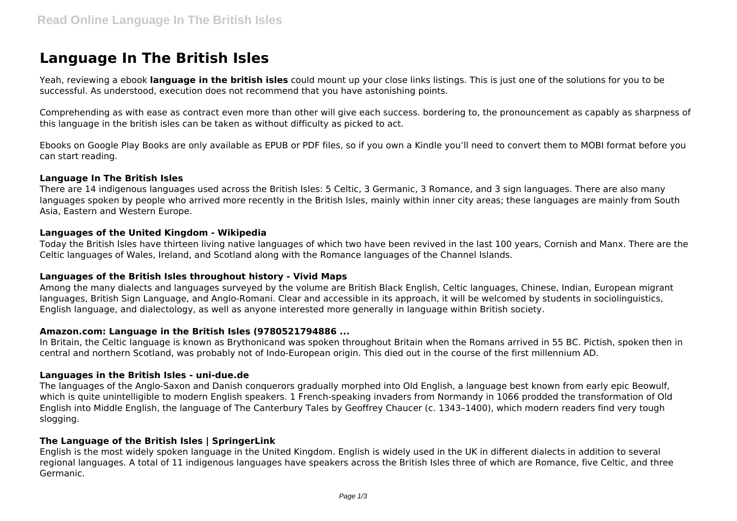# **Language In The British Isles**

Yeah, reviewing a ebook **language in the british isles** could mount up your close links listings. This is just one of the solutions for you to be successful. As understood, execution does not recommend that you have astonishing points.

Comprehending as with ease as contract even more than other will give each success. bordering to, the pronouncement as capably as sharpness of this language in the british isles can be taken as without difficulty as picked to act.

Ebooks on Google Play Books are only available as EPUB or PDF files, so if you own a Kindle you'll need to convert them to MOBI format before you can start reading.

### **Language In The British Isles**

There are 14 indigenous languages used across the British Isles: 5 Celtic, 3 Germanic, 3 Romance, and 3 sign languages. There are also many languages spoken by people who arrived more recently in the British Isles, mainly within inner city areas; these languages are mainly from South Asia, Eastern and Western Europe.

### **Languages of the United Kingdom - Wikipedia**

Today the British Isles have thirteen living native languages of which two have been revived in the last 100 years, Cornish and Manx. There are the Celtic languages of Wales, Ireland, and Scotland along with the Romance languages of the Channel Islands.

#### **Languages of the British Isles throughout history - Vivid Maps**

Among the many dialects and languages surveyed by the volume are British Black English, Celtic languages, Chinese, Indian, European migrant languages, British Sign Language, and Anglo-Romani. Clear and accessible in its approach, it will be welcomed by students in sociolinguistics, English language, and dialectology, as well as anyone interested more generally in language within British society.

# **Amazon.com: Language in the British Isles (9780521794886 ...**

In Britain, the Celtic language is known as Brythonicand was spoken throughout Britain when the Romans arrived in 55 BC. Pictish, spoken then in central and northern Scotland, was probably not of Indo-European origin. This died out in the course of the first millennium AD.

#### **Languages in the British Isles - uni-due.de**

The languages of the Anglo-Saxon and Danish conquerors gradually morphed into Old English, a language best known from early epic Beowulf, which is quite unintelligible to modern English speakers. 1 French-speaking invaders from Normandy in 1066 prodded the transformation of Old English into Middle English, the language of The Canterbury Tales by Geoffrey Chaucer (c. 1343–1400), which modern readers find very tough slogging.

### **The Language of the British Isles | SpringerLink**

English is the most widely spoken language in the United Kingdom. English is widely used in the UK in different dialects in addition to several regional languages. A total of 11 indigenous languages have speakers across the British Isles three of which are Romance, five Celtic, and three Germanic.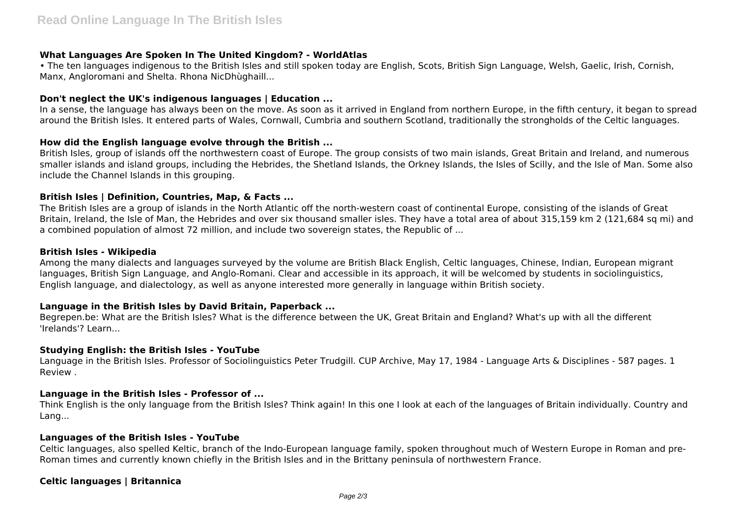# **What Languages Are Spoken In The United Kingdom? - WorldAtlas**

• The ten languages indigenous to the British Isles and still spoken today are English, Scots, British Sign Language, Welsh, Gaelic, Irish, Cornish, Manx, Angloromani and Shelta. Rhona NicDhùghaill...

# **Don't neglect the UK's indigenous languages | Education ...**

In a sense, the language has always been on the move. As soon as it arrived in England from northern Europe, in the fifth century, it began to spread around the British Isles. It entered parts of Wales, Cornwall, Cumbria and southern Scotland, traditionally the strongholds of the Celtic languages.

# **How did the English language evolve through the British ...**

British Isles, group of islands off the northwestern coast of Europe. The group consists of two main islands, Great Britain and Ireland, and numerous smaller islands and island groups, including the Hebrides, the Shetland Islands, the Orkney Islands, the Isles of Scilly, and the Isle of Man. Some also include the Channel Islands in this grouping.

# **British Isles | Definition, Countries, Map, & Facts ...**

The British Isles are a group of islands in the North Atlantic off the north-western coast of continental Europe, consisting of the islands of Great Britain, Ireland, the Isle of Man, the Hebrides and over six thousand smaller isles. They have a total area of about 315,159 km 2 (121,684 sq mi) and a combined population of almost 72 million, and include two sovereign states, the Republic of ...

### **British Isles - Wikipedia**

Among the many dialects and languages surveyed by the volume are British Black English, Celtic languages, Chinese, Indian, European migrant languages, British Sign Language, and Anglo-Romani. Clear and accessible in its approach, it will be welcomed by students in sociolinguistics, English language, and dialectology, as well as anyone interested more generally in language within British society.

# **Language in the British Isles by David Britain, Paperback ...**

Begrepen.be: What are the British Isles? What is the difference between the UK, Great Britain and England? What's up with all the different 'Irelands'? Learn...

# **Studying English: the British Isles - YouTube**

Language in the British Isles. Professor of Sociolinguistics Peter Trudgill. CUP Archive, May 17, 1984 - Language Arts & Disciplines - 587 pages. 1 Review .

# **Language in the British Isles - Professor of ...**

Think English is the only language from the British Isles? Think again! In this one I look at each of the languages of Britain individually. Country and Lang...

# **Languages of the British Isles - YouTube**

Celtic languages, also spelled Keltic, branch of the Indo-European language family, spoken throughout much of Western Europe in Roman and pre-Roman times and currently known chiefly in the British Isles and in the Brittany peninsula of northwestern France.

# **Celtic languages | Britannica**